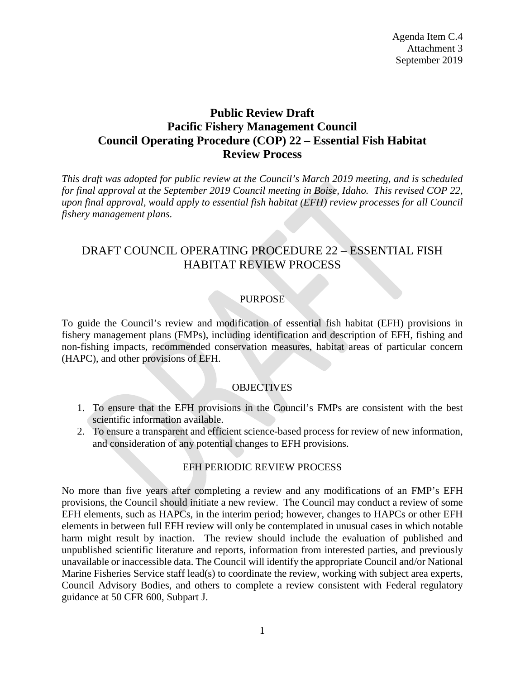# **Public Review Draft Pacific Fishery Management Council Council Operating Procedure (COP) 22 – Essential Fish Habitat Review Process**

*This draft was adopted for public review at the Council's March 2019 meeting, and is scheduled for final approval at the September 2019 Council meeting in Boise, Idaho. This revised COP 22, upon final approval, would apply to essential fish habitat (EFH) review processes for all Council fishery management plans.* 

# DRAFT COUNCIL OPERATING PROCEDURE 22 – ESSENTIAL FISH HABITAT REVIEW PROCESS

### PURPOSE

To guide the Council's review and modification of essential fish habitat (EFH) provisions in fishery management plans (FMPs), including identification and description of EFH, fishing and non-fishing impacts, recommended conservation measures, habitat areas of particular concern (HAPC), and other provisions of EFH.

### **OBJECTIVES**

- 1. To ensure that the EFH provisions in the Council's FMPs are consistent with the best scientific information available.
- 2. To ensure a transparent and efficient science-based process for review of new information, and consideration of any potential changes to EFH provisions.

### EFH PERIODIC REVIEW PROCESS

No more than five years after completing a review and any modifications of an FMP's EFH provisions, the Council should initiate a new review. The Council may conduct a review of some EFH elements, such as HAPCs, in the interim period; however, changes to HAPCs or other EFH elements in between full EFH review will only be contemplated in unusual cases in which notable harm might result by inaction. The review should include the evaluation of published and unpublished scientific literature and reports, information from interested parties, and previously unavailable or inaccessible data. The Council will identify the appropriate Council and/or National Marine Fisheries Service staff lead(s) to coordinate the review, working with subject area experts, Council Advisory Bodies, and others to complete a review consistent with Federal regulatory guidance at 50 CFR 600, Subpart J.